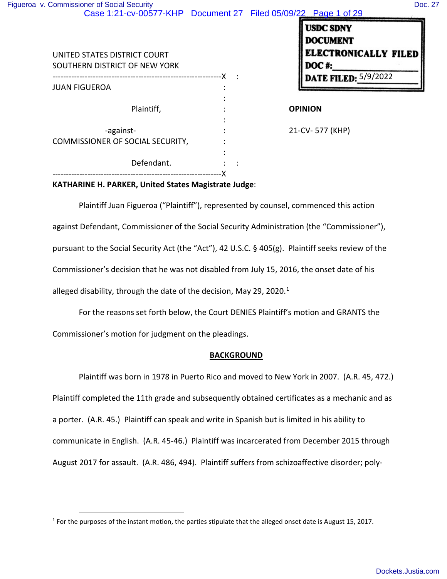:

:

:

---------------------------------------------------------------X :

|  | <b>DATE FILED: 5/9/2022</b> |
|--|-----------------------------|
|  |                             |

#### Plaintiff, **COPINION**

-against-<br>  $\qquad \qquad$  : 21-CV- 577 (KHP) COMMISSIONER OF SOCIAL SECURITY, :

JUAN FIGUEROA :

# **KATHARINE H. PARKER, United States Magistrate Judge**:

Defendant. : : :

---------------------------------------------------------------X

Plaintiff Juan Figueroa ("Plaintiff"), represented by counsel, commenced this action against Defendant, Commissioner of the Social Security Administration (the "Commissioner"), pursuant to the Social Security Act (the "Act"), 42 U.S.C. § 405(g). Plaintiff seeks review of the Commissioner's decision that he was not disabled from July 15, 2016, the onset date of his alleged disability, through the date of the decision, May 29, 2020.<sup>1</sup>

For the reasons set forth below, the Court DENIES Plaintiff's motion and GRANTS the Commissioner's motion for judgment on the pleadings.

#### **BACKGROUND**

Plaintiff was born in 1978 in Puerto Rico and moved to New York in 2007. (A.R. 45, 472.) Plaintiff completed the 11th grade and subsequently obtained certificates as a mechanic and as a porter. (A.R. 45.) Plaintiff can speak and write in Spanish but is limited in his ability to communicate in English. (A.R. 45-46.) Plaintiff was incarcerated from December 2015 through August 2017 for assault. (A.R. 486, 494). Plaintiff suffers from schizoaffective disorder; poly-

<sup>&</sup>lt;sup>1</sup> For the purposes of the instant motion, the parties stipulate that the alleged onset date is August 15, 2017.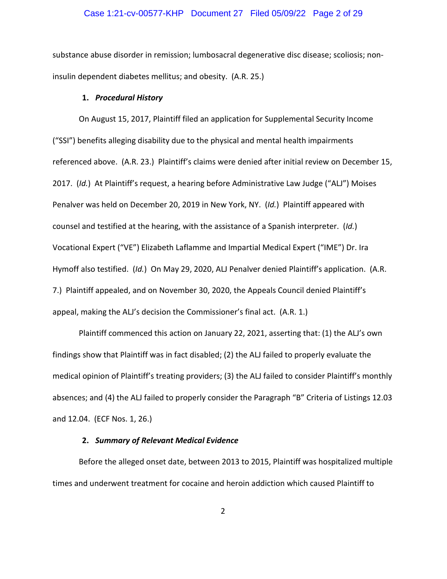#### Case 1:21-cv-00577-KHP Document 27 Filed 05/09/22 Page 2 of 29

substance abuse disorder in remission; lumbosacral degenerative disc disease; scoliosis; noninsulin dependent diabetes mellitus; and obesity. (A.R. 25.)

#### **1.** *Procedural History*

On August 15, 2017, Plaintiff filed an application for Supplemental Security Income ("SSI") benefits alleging disability due to the physical and mental health impairments referenced above. (A.R. 23.) Plaintiff's claims were denied after initial review on December 15, 2017. (*Id.*) At Plaintiff's request, a hearing before Administrative Law Judge ("ALJ") Moises Penalver was held on December 20, 2019 in New York, NY. (*Id.*) Plaintiff appeared with counsel and testified at the hearing, with the assistance of a Spanish interpreter. (*Id.*) Vocational Expert ("VE") Elizabeth Laflamme and Impartial Medical Expert ("IME") Dr. Ira Hymoff also testified. (*Id.*) On May 29, 2020, ALJ Penalver denied Plaintiff's application. (A.R. 7.) Plaintiff appealed, and on November 30, 2020, the Appeals Council denied Plaintiff's appeal, making the ALJ's decision the Commissioner's final act. (A.R. 1.)

Plaintiff commenced this action on January 22, 2021, asserting that: (1) the ALJ's own findings show that Plaintiff was in fact disabled; (2) the ALJ failed to properly evaluate the medical opinion of Plaintiff's treating providers; (3) the ALJ failed to consider Plaintiff's monthly absences; and (4) the ALJ failed to properly consider the Paragraph "B" Criteria of Listings 12.03 and 12.04. (ECF Nos. 1, 26.)

#### **2.** *Summary of Relevant Medical Evidence*

Before the alleged onset date, between 2013 to 2015, Plaintiff was hospitalized multiple times and underwent treatment for cocaine and heroin addiction which caused Plaintiff to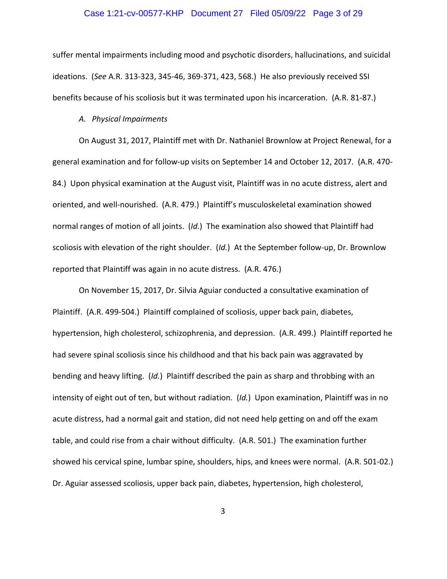#### Case 1:21-cv-00577-KHP Document 27 Filed 05/09/22 Page 3 of 29

suffer mental impairments including mood and psychotic disorders, hallucinations, and suicidal ideations. (*See* A.R. 313-323, 345-46, 369-371, 423, 568.) He also previously received SSI benefits because of his scoliosis but it was terminated upon his incarceration. (A.R. 81-87.)

#### *A. Physical Impairments*

On August 31, 2017, Plaintiff met with Dr. Nathaniel Brownlow at Project Renewal, for a general examination and for follow-up visits on September 14 and October 12, 2017. (A.R. 470- 84.) Upon physical examination at the August visit, Plaintiff was in no acute distress, alert and oriented, and well-nourished. (A.R. 479.) Plaintiff's musculoskeletal examination showed normal ranges of motion of all joints. (*Id.*) The examination also showed that Plaintiff had scoliosis with elevation of the right shoulder. (*Id.*) At the September follow-up, Dr. Brownlow reported that Plaintiff was again in no acute distress. (A.R. 476.)

On November 15, 2017, Dr. Silvia Aguiar conducted a consultative examination of Plaintiff. (A.R. 499-504.) Plaintiff complained of scoliosis, upper back pain, diabetes, hypertension, high cholesterol, schizophrenia, and depression. (A.R. 499.) Plaintiff reported he had severe spinal scoliosis since his childhood and that his back pain was aggravated by bending and heavy lifting. (*Id.*) Plaintiff described the pain as sharp and throbbing with an intensity of eight out of ten, but without radiation. (*Id.*) Upon examination, Plaintiff was in no acute distress, had a normal gait and station, did not need help getting on and off the exam table, and could rise from a chair without difficulty. (A.R. 501.) The examination further showed his cervical spine, lumbar spine, shoulders, hips, and knees were normal. (A.R. 501-02.) Dr. Aguiar assessed scoliosis, upper back pain, diabetes, hypertension, high cholesterol,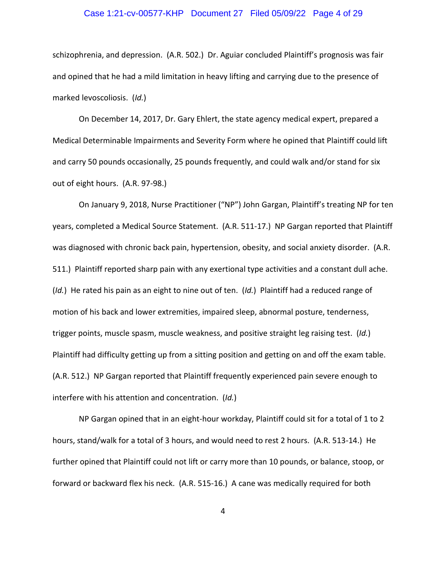#### Case 1:21-cv-00577-KHP Document 27 Filed 05/09/22 Page 4 of 29

schizophrenia, and depression. (A.R. 502.) Dr. Aguiar concluded Plaintiff's prognosis was fair and opined that he had a mild limitation in heavy lifting and carrying due to the presence of marked levoscoliosis. (*Id.*)

On December 14, 2017, Dr. Gary Ehlert, the state agency medical expert, prepared a Medical Determinable Impairments and Severity Form where he opined that Plaintiff could lift and carry 50 pounds occasionally, 25 pounds frequently, and could walk and/or stand for six out of eight hours. (A.R. 97-98.)

On January 9, 2018, Nurse Practitioner ("NP") John Gargan, Plaintiff's treating NP for ten years, completed a Medical Source Statement. (A.R. 511-17.) NP Gargan reported that Plaintiff was diagnosed with chronic back pain, hypertension, obesity, and social anxiety disorder. (A.R. 511.) Plaintiff reported sharp pain with any exertional type activities and a constant dull ache. (*Id.*) He rated his pain as an eight to nine out of ten. (*Id.*) Plaintiff had a reduced range of motion of his back and lower extremities, impaired sleep, abnormal posture, tenderness, trigger points, muscle spasm, muscle weakness, and positive straight leg raising test. (*Id.*) Plaintiff had difficulty getting up from a sitting position and getting on and off the exam table. (A.R. 512.) NP Gargan reported that Plaintiff frequently experienced pain severe enough to interfere with his attention and concentration. (*Id.*)

NP Gargan opined that in an eight-hour workday, Plaintiff could sit for a total of 1 to 2 hours, stand/walk for a total of 3 hours, and would need to rest 2 hours. (A.R. 513-14.) He further opined that Plaintiff could not lift or carry more than 10 pounds, or balance, stoop, or forward or backward flex his neck. (A.R. 515-16.) A cane was medically required for both

4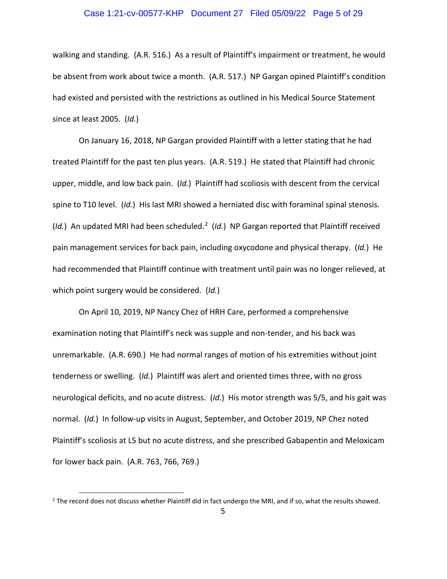# Case 1:21-cv-00577-KHP Document 27 Filed 05/09/22 Page 5 of 29

walking and standing. (A.R. 516.) As a result of Plaintiff's impairment or treatment, he would be absent from work about twice a month. (A.R. 517.) NP Gargan opined Plaintiff's condition had existed and persisted with the restrictions as outlined in his Medical Source Statement since at least 2005. (*Id.*)

On January 16, 2018, NP Gargan provided Plaintiff with a letter stating that he had treated Plaintiff for the past ten plus years. (A.R. 519.) He stated that Plaintiff had chronic upper, middle, and low back pain. (*Id.*) Plaintiff had scoliosis with descent from the cervical spine to T10 level. (*Id.*) His last MRI showed a herniated disc with foraminal spinal stenosis. (Id.) An updated MRI had been scheduled.<sup>2</sup> (Id.) NP Gargan reported that Plaintiff received pain management services for back pain, including oxycodone and physical therapy. (*Id.*) He had recommended that Plaintiff continue with treatment until pain was no longer relieved, at which point surgery would be considered. (*Id.*)

On April 10, 2019, NP Nancy Chez of HRH Care, performed a comprehensive examination noting that Plaintiff's neck was supple and non-tender, and his back was unremarkable. (A.R. 690.) He had normal ranges of motion of his extremities without joint tenderness or swelling. (*Id.*) Plaintiff was alert and oriented times three, with no gross neurological deficits, and no acute distress. (*Id.*) His motor strength was 5/5, and his gait was normal. (*Id.*) In follow-up visits in August, September, and October 2019, NP Chez noted Plaintiff's scoliosis at L5 but no acute distress, and she prescribed Gabapentin and Meloxicam for lower back pain. (A.R. 763, 766, 769.)

<sup>&</sup>lt;sup>2</sup> The record does not discuss whether Plaintiff did in fact undergo the MRI, and if so, what the results showed.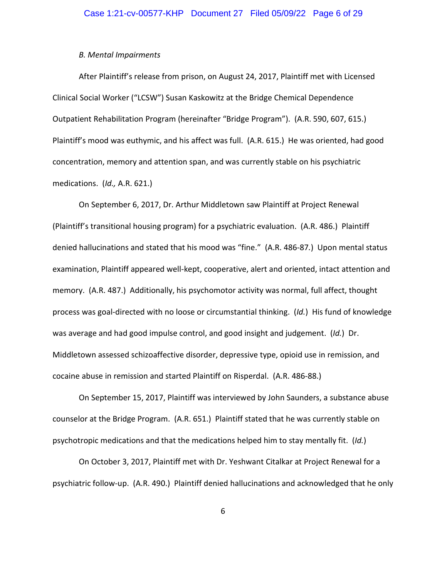#### *B. Mental Impairments*

After Plaintiff's release from prison, on August 24, 2017, Plaintiff met with Licensed Clinical Social Worker ("LCSW") Susan Kaskowitz at the Bridge Chemical Dependence Outpatient Rehabilitation Program (hereinafter "Bridge Program"). (A.R. 590, 607, 615.) Plaintiff's mood was euthymic, and his affect was full. (A.R. 615.) He was oriented, had good concentration, memory and attention span, and was currently stable on his psychiatric medications. (*Id.,* A.R. 621.)

On September 6, 2017, Dr. Arthur Middletown saw Plaintiff at Project Renewal (Plaintiff's transitional housing program) for a psychiatric evaluation. (A.R. 486.) Plaintiff denied hallucinations and stated that his mood was "fine." (A.R. 486-87*.*) Upon mental status examination, Plaintiff appeared well-kept, cooperative, alert and oriented, intact attention and memory. (A.R. 487.) Additionally, his psychomotor activity was normal, full affect, thought process was goal-directed with no loose or circumstantial thinking. (*Id.*) His fund of knowledge was average and had good impulse control, and good insight and judgement. (*Id.*) Dr. Middletown assessed schizoaffective disorder, depressive type, opioid use in remission, and cocaine abuse in remission and started Plaintiff on Risperdal. (A.R. 486-88.)

On September 15, 2017, Plaintiff was interviewed by John Saunders, a substance abuse counselor at the Bridge Program. (A.R. 651.) Plaintiff stated that he was currently stable on psychotropic medications and that the medications helped him to stay mentally fit. (*Id.*)

On October 3, 2017, Plaintiff met with Dr. Yeshwant Citalkar at Project Renewal for a psychiatric follow-up. (A.R. 490.) Plaintiff denied hallucinations and acknowledged that he only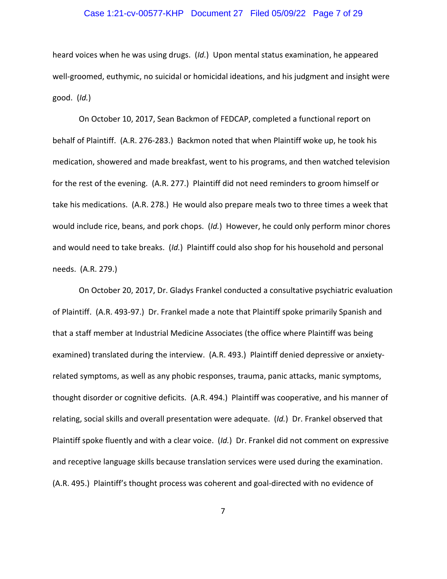#### Case 1:21-cv-00577-KHP Document 27 Filed 05/09/22 Page 7 of 29

heard voices when he was using drugs. (*Id.*) Upon mental status examination, he appeared well-groomed, euthymic, no suicidal or homicidal ideations, and his judgment and insight were good. (*Id.*)

On October 10, 2017, Sean Backmon of FEDCAP, completed a functional report on behalf of Plaintiff. (A.R. 276-283.) Backmon noted that when Plaintiff woke up, he took his medication, showered and made breakfast, went to his programs, and then watched television for the rest of the evening. (A.R. 277.) Plaintiff did not need reminders to groom himself or take his medications. (A.R. 278.) He would also prepare meals two to three times a week that would include rice, beans, and pork chops. (*Id.*) However, he could only perform minor chores and would need to take breaks. (*Id.*) Plaintiff could also shop for his household and personal needs. (A.R. 279.)

On October 20, 2017, Dr. Gladys Frankel conducted a consultative psychiatric evaluation of Plaintiff. (A.R. 493-97.) Dr. Frankel made a note that Plaintiff spoke primarily Spanish and that a staff member at Industrial Medicine Associates (the office where Plaintiff was being examined) translated during the interview. (A.R. 493.) Plaintiff denied depressive or anxietyrelated symptoms, as well as any phobic responses, trauma, panic attacks, manic symptoms, thought disorder or cognitive deficits. (A.R. 494.) Plaintiff was cooperative, and his manner of relating, social skills and overall presentation were adequate. (*Id.*) Dr. Frankel observed that Plaintiff spoke fluently and with a clear voice. (*Id.*) Dr. Frankel did not comment on expressive and receptive language skills because translation services were used during the examination. (A.R. 495.) Plaintiff's thought process was coherent and goal-directed with no evidence of

7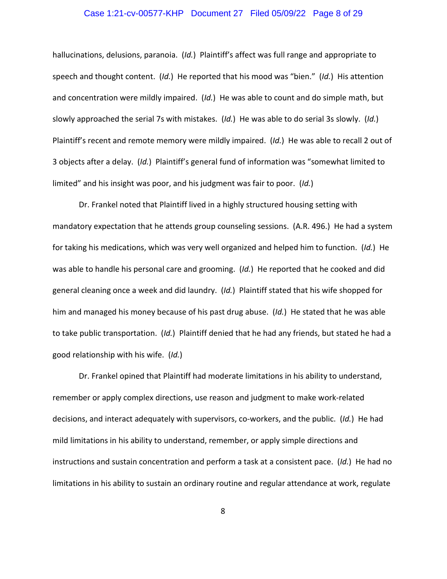#### Case 1:21-cv-00577-KHP Document 27 Filed 05/09/22 Page 8 of 29

hallucinations, delusions, paranoia. (*Id.*) Plaintiff's affect was full range and appropriate to speech and thought content. (*Id.*) He reported that his mood was "bien." (*Id.*) His attention and concentration were mildly impaired. (*Id.*) He was able to count and do simple math, but slowly approached the serial 7s with mistakes. (*Id.*) He was able to do serial 3s slowly. (*Id.*) Plaintiff's recent and remote memory were mildly impaired. (*Id.*) He was able to recall 2 out of 3 objects after a delay. (*Id.*) Plaintiff's general fund of information was "somewhat limited to limited" and his insight was poor, and his judgment was fair to poor. (*Id.*)

Dr. Frankel noted that Plaintiff lived in a highly structured housing setting with mandatory expectation that he attends group counseling sessions. (A.R. 496.) He had a system for taking his medications, which was very well organized and helped him to function. (*Id.*) He was able to handle his personal care and grooming. (*Id.*) He reported that he cooked and did general cleaning once a week and did laundry. (*Id.*) Plaintiff stated that his wife shopped for him and managed his money because of his past drug abuse. (*Id.*) He stated that he was able to take public transportation. (*Id.*) Plaintiff denied that he had any friends, but stated he had a good relationship with his wife. (*Id.*)

Dr. Frankel opined that Plaintiff had moderate limitations in his ability to understand, remember or apply complex directions, use reason and judgment to make work-related decisions, and interact adequately with supervisors, co-workers, and the public. (*Id.*) He had mild limitations in his ability to understand, remember, or apply simple directions and instructions and sustain concentration and perform a task at a consistent pace. (*Id.*) He had no limitations in his ability to sustain an ordinary routine and regular attendance at work, regulate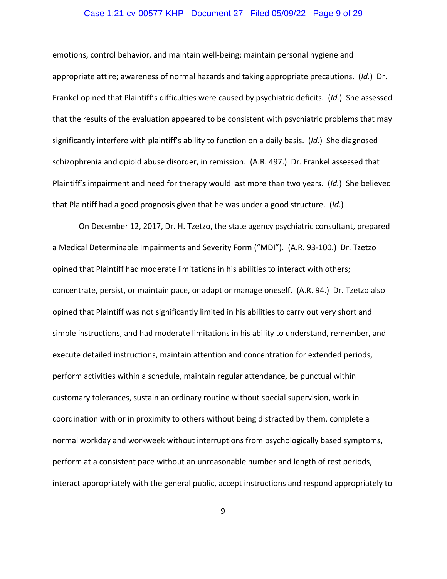#### Case 1:21-cv-00577-KHP Document 27 Filed 05/09/22 Page 9 of 29

emotions, control behavior, and maintain well-being; maintain personal hygiene and appropriate attire; awareness of normal hazards and taking appropriate precautions. (*Id.*) Dr. Frankel opined that Plaintiff's difficulties were caused by psychiatric deficits. (*Id.*) She assessed that the results of the evaluation appeared to be consistent with psychiatric problems that may significantly interfere with plaintiff's ability to function on a daily basis. (*Id.*) She diagnosed schizophrenia and opioid abuse disorder, in remission. (A.R. 497.) Dr. Frankel assessed that Plaintiff's impairment and need for therapy would last more than two years. (*Id.*) She believed that Plaintiff had a good prognosis given that he was under a good structure. (*Id.*)

On December 12, 2017, Dr. H. Tzetzo, the state agency psychiatric consultant, prepared a Medical Determinable Impairments and Severity Form ("MDI"). (A.R. 93-100.) Dr. Tzetzo opined that Plaintiff had moderate limitations in his abilities to interact with others; concentrate, persist, or maintain pace, or adapt or manage oneself. (A.R. 94.) Dr. Tzetzo also opined that Plaintiff was not significantly limited in his abilities to carry out very short and simple instructions, and had moderate limitations in his ability to understand, remember, and execute detailed instructions, maintain attention and concentration for extended periods, perform activities within a schedule, maintain regular attendance, be punctual within customary tolerances, sustain an ordinary routine without special supervision, work in coordination with or in proximity to others without being distracted by them, complete a normal workday and workweek without interruptions from psychologically based symptoms, perform at a consistent pace without an unreasonable number and length of rest periods, interact appropriately with the general public, accept instructions and respond appropriately to

9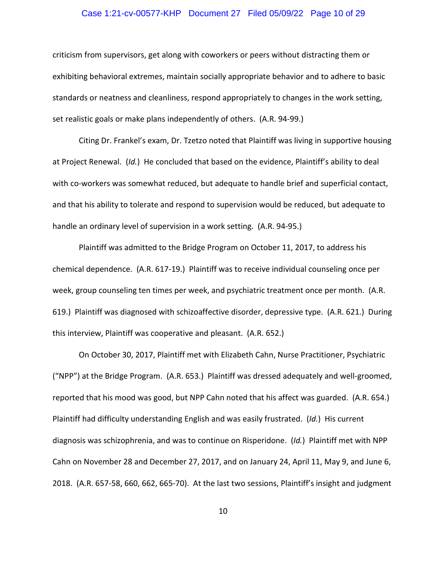# Case 1:21-cv-00577-KHP Document 27 Filed 05/09/22 Page 10 of 29

criticism from supervisors, get along with coworkers or peers without distracting them or exhibiting behavioral extremes, maintain socially appropriate behavior and to adhere to basic standards or neatness and cleanliness, respond appropriately to changes in the work setting, set realistic goals or make plans independently of others. (A.R. 94-99.)

Citing Dr. Frankel's exam, Dr. Tzetzo noted that Plaintiff was living in supportive housing at Project Renewal. (*Id.*) He concluded that based on the evidence, Plaintiff's ability to deal with co-workers was somewhat reduced, but adequate to handle brief and superficial contact, and that his ability to tolerate and respond to supervision would be reduced, but adequate to handle an ordinary level of supervision in a work setting. (A.R. 94-95.)

Plaintiff was admitted to the Bridge Program on October 11, 2017, to address his chemical dependence. (A.R. 617-19.) Plaintiff was to receive individual counseling once per week, group counseling ten times per week, and psychiatric treatment once per month. (A.R. 619.) Plaintiff was diagnosed with schizoaffective disorder, depressive type. (A.R. 621.) During this interview, Plaintiff was cooperative and pleasant. (A.R. 652.)

On October 30, 2017, Plaintiff met with Elizabeth Cahn, Nurse Practitioner, Psychiatric ("NPP") at the Bridge Program. (A.R. 653.) Plaintiff was dressed adequately and well-groomed, reported that his mood was good, but NPP Cahn noted that his affect was guarded. (A.R. 654.) Plaintiff had difficulty understanding English and was easily frustrated. (*Id.*) His current diagnosis was schizophrenia, and was to continue on Risperidone. (*Id.*) Plaintiff met with NPP Cahn on November 28 and December 27, 2017, and on January 24, April 11, May 9, and June 6, 2018. (A.R. 657-58, 660, 662, 665-70). At the last two sessions, Plaintiff's insight and judgment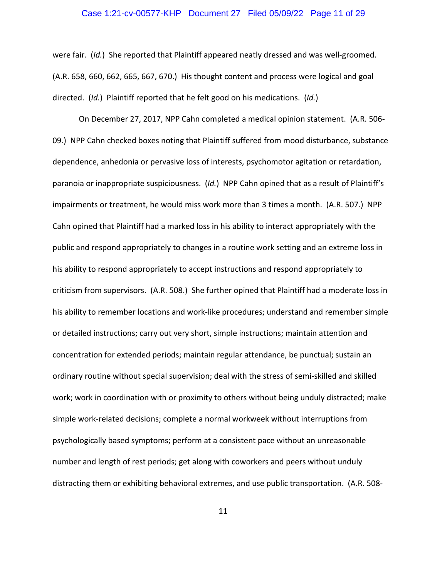# Case 1:21-cv-00577-KHP Document 27 Filed 05/09/22 Page 11 of 29

were fair. (*Id.*) She reported that Plaintiff appeared neatly dressed and was well-groomed. (A.R. 658, 660, 662, 665, 667, 670.) His thought content and process were logical and goal directed. (*Id.*) Plaintiff reported that he felt good on his medications. (*Id.*)

On December 27, 2017, NPP Cahn completed a medical opinion statement. (A.R. 506- 09.) NPP Cahn checked boxes noting that Plaintiff suffered from mood disturbance, substance dependence, anhedonia or pervasive loss of interests, psychomotor agitation or retardation, paranoia or inappropriate suspiciousness. (*Id.*) NPP Cahn opined that as a result of Plaintiff's impairments or treatment, he would miss work more than 3 times a month. (A.R. 507.) NPP Cahn opined that Plaintiff had a marked loss in his ability to interact appropriately with the public and respond appropriately to changes in a routine work setting and an extreme loss in his ability to respond appropriately to accept instructions and respond appropriately to criticism from supervisors. (A.R. 508.) She further opined that Plaintiff had a moderate loss in his ability to remember locations and work-like procedures; understand and remember simple or detailed instructions; carry out very short, simple instructions; maintain attention and concentration for extended periods; maintain regular attendance, be punctual; sustain an ordinary routine without special supervision; deal with the stress of semi-skilled and skilled work; work in coordination with or proximity to others without being unduly distracted; make simple work-related decisions; complete a normal workweek without interruptions from psychologically based symptoms; perform at a consistent pace without an unreasonable number and length of rest periods; get along with coworkers and peers without unduly distracting them or exhibiting behavioral extremes, and use public transportation. (A.R. 508-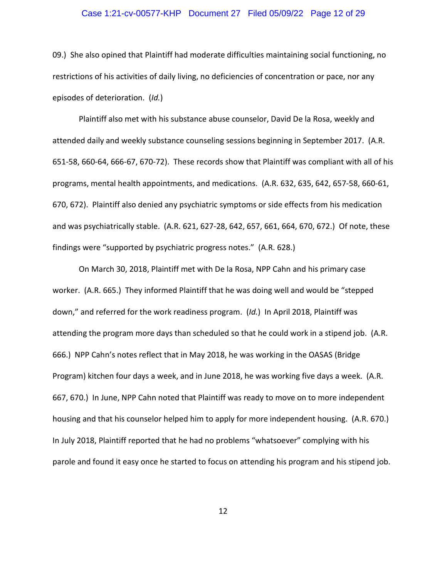# Case 1:21-cv-00577-KHP Document 27 Filed 05/09/22 Page 12 of 29

09.) She also opined that Plaintiff had moderate difficulties maintaining social functioning, no restrictions of his activities of daily living, no deficiencies of concentration or pace, nor any episodes of deterioration. (*Id.*)

Plaintiff also met with his substance abuse counselor, David De la Rosa, weekly and attended daily and weekly substance counseling sessions beginning in September 2017. (A.R. 651-58, 660-64, 666-67, 670-72). These records show that Plaintiff was compliant with all of his programs, mental health appointments, and medications. (A.R. 632, 635, 642, 657-58, 660-61, 670, 672). Plaintiff also denied any psychiatric symptoms or side effects from his medication and was psychiatrically stable. (A.R. 621, 627-28, 642, 657, 661, 664, 670, 672.) Of note, these findings were "supported by psychiatric progress notes." (A.R. 628.)

On March 30, 2018, Plaintiff met with De la Rosa, NPP Cahn and his primary case worker. (A.R. 665.) They informed Plaintiff that he was doing well and would be "stepped down," and referred for the work readiness program. (*Id.*) In April 2018, Plaintiff was attending the program more days than scheduled so that he could work in a stipend job. (A.R. 666.) NPP Cahn's notes reflect that in May 2018, he was working in the OASAS (Bridge Program) kitchen four days a week, and in June 2018, he was working five days a week. (A.R. 667, 670.) In June, NPP Cahn noted that Plaintiff was ready to move on to more independent housing and that his counselor helped him to apply for more independent housing. (A.R. 670.) In July 2018, Plaintiff reported that he had no problems "whatsoever" complying with his parole and found it easy once he started to focus on attending his program and his stipend job.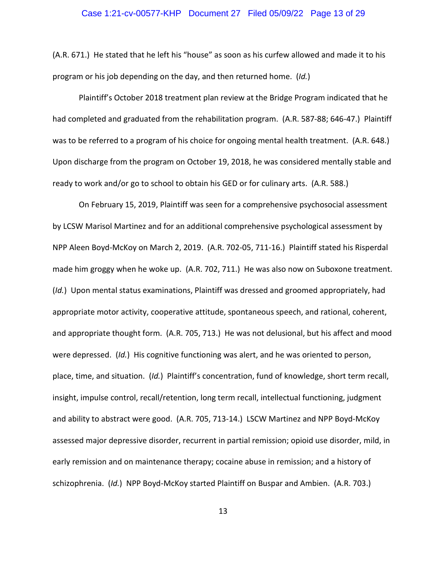# Case 1:21-cv-00577-KHP Document 27 Filed 05/09/22 Page 13 of 29

(A.R. 671.) He stated that he left his "house" as soon as his curfew allowed and made it to his program or his job depending on the day, and then returned home. (*Id.*)

Plaintiff's October 2018 treatment plan review at the Bridge Program indicated that he had completed and graduated from the rehabilitation program. (A.R. 587-88; 646-47.) Plaintiff was to be referred to a program of his choice for ongoing mental health treatment. (A.R. 648.) Upon discharge from the program on October 19, 2018, he was considered mentally stable and ready to work and/or go to school to obtain his GED or for culinary arts. (A.R. 588.)

On February 15, 2019, Plaintiff was seen for a comprehensive psychosocial assessment by LCSW Marisol Martinez and for an additional comprehensive psychological assessment by NPP Aleen Boyd-McKoy on March 2, 2019. (A.R. 702-05, 711-16.) Plaintiff stated his Risperdal made him groggy when he woke up. (A.R. 702, 711.) He was also now on Suboxone treatment. (*Id.*) Upon mental status examinations, Plaintiff was dressed and groomed appropriately, had appropriate motor activity, cooperative attitude, spontaneous speech, and rational, coherent, and appropriate thought form. (A.R. 705, 713.) He was not delusional, but his affect and mood were depressed. (*Id.*) His cognitive functioning was alert, and he was oriented to person, place, time, and situation. (*Id.*) Plaintiff's concentration, fund of knowledge, short term recall, insight, impulse control, recall/retention, long term recall, intellectual functioning, judgment and ability to abstract were good. (A.R. 705, 713-14.) LSCW Martinez and NPP Boyd-McKoy assessed major depressive disorder, recurrent in partial remission; opioid use disorder, mild, in early remission and on maintenance therapy; cocaine abuse in remission; and a history of schizophrenia. (*Id.*) NPP Boyd-McKoy started Plaintiff on Buspar and Ambien. (A.R. 703.)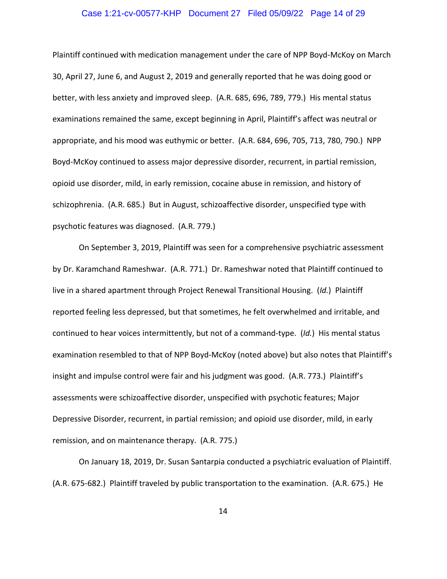#### Case 1:21-cv-00577-KHP Document 27 Filed 05/09/22 Page 14 of 29

Plaintiff continued with medication management under the care of NPP Boyd-McKoy on March 30, April 27, June 6, and August 2, 2019 and generally reported that he was doing good or better, with less anxiety and improved sleep. (A.R. 685, 696, 789, 779.) His mental status examinations remained the same, except beginning in April, Plaintiff's affect was neutral or appropriate, and his mood was euthymic or better. (A.R. 684, 696, 705, 713, 780, 790.) NPP Boyd-McKoy continued to assess major depressive disorder, recurrent, in partial remission, opioid use disorder, mild, in early remission, cocaine abuse in remission, and history of schizophrenia. (A.R. 685.) But in August, schizoaffective disorder, unspecified type with psychotic features was diagnosed. (A.R. 779.)

On September 3, 2019, Plaintiff was seen for a comprehensive psychiatric assessment by Dr. Karamchand Rameshwar. (A.R. 771.) Dr. Rameshwar noted that Plaintiff continued to live in a shared apartment through Project Renewal Transitional Housing. (*Id.*) Plaintiff reported feeling less depressed, but that sometimes, he felt overwhelmed and irritable, and continued to hear voices intermittently, but not of a command-type. (*Id.*) His mental status examination resembled to that of NPP Boyd-McKoy (noted above) but also notes that Plaintiff's insight and impulse control were fair and his judgment was good. (A.R. 773.) Plaintiff's assessments were schizoaffective disorder, unspecified with psychotic features; Major Depressive Disorder, recurrent, in partial remission; and opioid use disorder, mild, in early remission, and on maintenance therapy. (A.R. 775.)

On January 18, 2019, Dr. Susan Santarpia conducted a psychiatric evaluation of Plaintiff. (A.R. 675-682.) Plaintiff traveled by public transportation to the examination. (A.R. 675.) He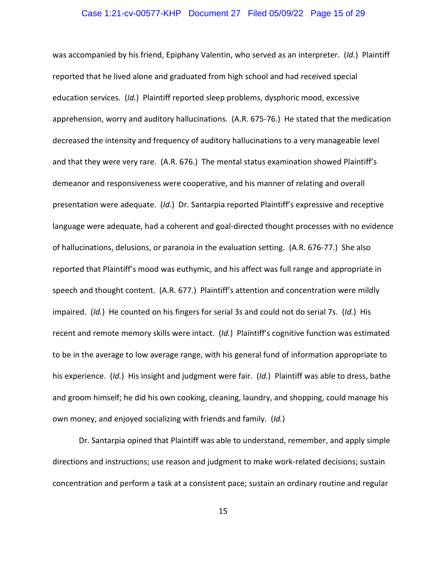# Case 1:21-cv-00577-KHP Document 27 Filed 05/09/22 Page 15 of 29

was accompanied by his friend, Epiphany Valentin, who served as an interpreter. (*Id.*) Plaintiff reported that he lived alone and graduated from high school and had received special education services. (*Id.*) Plaintiff reported sleep problems, dysphoric mood, excessive apprehension, worry and auditory hallucinations. (A.R. 675-76.) He stated that the medication decreased the intensity and frequency of auditory hallucinations to a very manageable level and that they were very rare. (A.R. 676.) The mental status examination showed Plaintiff's demeanor and responsiveness were cooperative, and his manner of relating and overall presentation were adequate. (*Id.*) Dr. Santarpia reported Plaintiff's expressive and receptive language were adequate, had a coherent and goal-directed thought processes with no evidence of hallucinations, delusions, or paranoia in the evaluation setting. (A.R. 676-77.) She also reported that Plaintiff's mood was euthymic, and his affect was full range and appropriate in speech and thought content. (A.R. 677.) Plaintiff's attention and concentration were mildly impaired. (*Id.*) He counted on his fingers for serial 3s and could not do serial 7s. (*Id.*) His recent and remote memory skills were intact. (*Id.*) Plaintiff's cognitive function was estimated to be in the average to low average range, with his general fund of information appropriate to his experience. (*Id.*) His insight and judgment were fair. (*Id.*) Plaintiff was able to dress, bathe and groom himself; he did his own cooking, cleaning, laundry, and shopping, could manage his own money, and enjoyed socializing with friends and family. (*Id.*)

Dr. Santarpia opined that Plaintiff was able to understand, remember, and apply simple directions and instructions; use reason and judgment to make work-related decisions; sustain concentration and perform a task at a consistent pace; sustain an ordinary routine and regular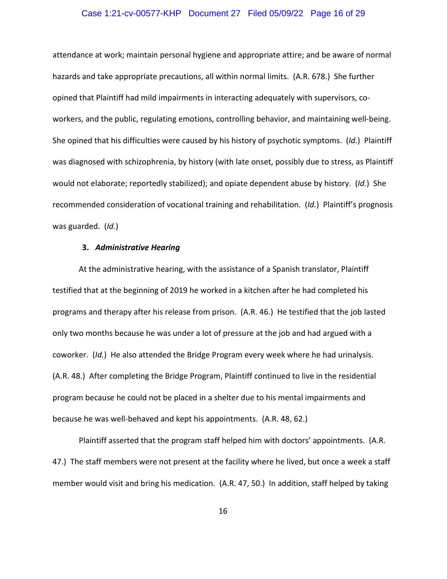# Case 1:21-cv-00577-KHP Document 27 Filed 05/09/22 Page 16 of 29

attendance at work; maintain personal hygiene and appropriate attire; and be aware of normal hazards and take appropriate precautions, all within normal limits. (A.R. 678.) She further opined that Plaintiff had mild impairments in interacting adequately with supervisors, coworkers, and the public, regulating emotions, controlling behavior, and maintaining well-being. She opined that his difficulties were caused by his history of psychotic symptoms. (*Id.*) Plaintiff was diagnosed with schizophrenia, by history (with late onset, possibly due to stress, as Plaintiff would not elaborate; reportedly stabilized); and opiate dependent abuse by history. (*Id.*) She recommended consideration of vocational training and rehabilitation. (*Id.*) Plaintiff's prognosis was guarded. (*Id.*)

#### **3.** *Administrative Hearing*

At the administrative hearing, with the assistance of a Spanish translator, Plaintiff testified that at the beginning of 2019 he worked in a kitchen after he had completed his programs and therapy after his release from prison. (A.R. 46.) He testified that the job lasted only two months because he was under a lot of pressure at the job and had argued with a coworker. (*Id.*) He also attended the Bridge Program every week where he had urinalysis. (A.R. 48.) After completing the Bridge Program, Plaintiff continued to live in the residential program because he could not be placed in a shelter due to his mental impairments and because he was well-behaved and kept his appointments. (A.R. 48, 62.)

Plaintiff asserted that the program staff helped him with doctors' appointments. (A.R. 47.) The staff members were not present at the facility where he lived, but once a week a staff member would visit and bring his medication. (A.R. 47, 50.) In addition, staff helped by taking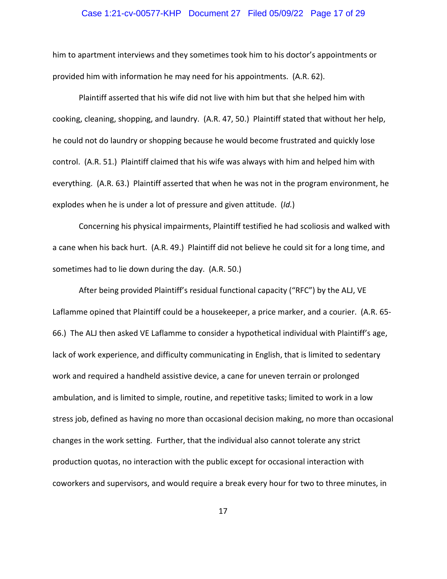# Case 1:21-cv-00577-KHP Document 27 Filed 05/09/22 Page 17 of 29

him to apartment interviews and they sometimes took him to his doctor's appointments or provided him with information he may need for his appointments. (A.R. 62).

Plaintiff asserted that his wife did not live with him but that she helped him with cooking, cleaning, shopping, and laundry. (A.R. 47, 50.) Plaintiff stated that without her help, he could not do laundry or shopping because he would become frustrated and quickly lose control. (A.R. 51.) Plaintiff claimed that his wife was always with him and helped him with everything. (A.R. 63.) Plaintiff asserted that when he was not in the program environment, he explodes when he is under a lot of pressure and given attitude. (*Id.*)

Concerning his physical impairments, Plaintiff testified he had scoliosis and walked with a cane when his back hurt. (A.R. 49.) Plaintiff did not believe he could sit for a long time, and sometimes had to lie down during the day. (A.R. 50.)

After being provided Plaintiff's residual functional capacity ("RFC") by the ALJ, VE Laflamme opined that Plaintiff could be a housekeeper, a price marker, and a courier. (A.R. 65-66.) The ALJ then asked VE Laflamme to consider a hypothetical individual with Plaintiff's age, lack of work experience, and difficulty communicating in English, that is limited to sedentary work and required a handheld assistive device, a cane for uneven terrain or prolonged ambulation, and is limited to simple, routine, and repetitive tasks; limited to work in a low stress job, defined as having no more than occasional decision making, no more than occasional changes in the work setting. Further, that the individual also cannot tolerate any strict production quotas, no interaction with the public except for occasional interaction with coworkers and supervisors, and would require a break every hour for two to three minutes, in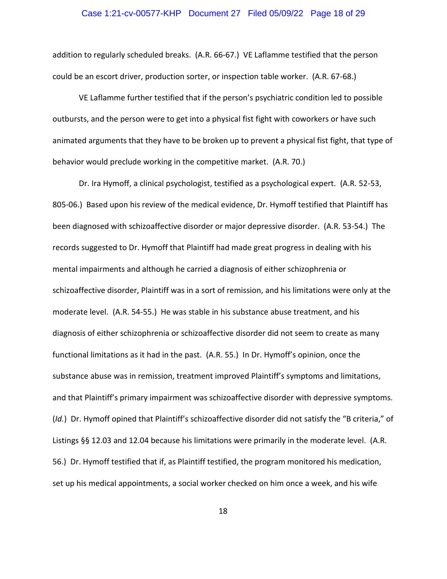# Case 1:21-cv-00577-KHP Document 27 Filed 05/09/22 Page 18 of 29

addition to regularly scheduled breaks. (A.R. 66-67.) VE Laflamme testified that the person could be an escort driver, production sorter, or inspection table worker. (A.R. 67-68.)

VE Laflamme further testified that if the person's psychiatric condition led to possible outbursts, and the person were to get into a physical fist fight with coworkers or have such animated arguments that they have to be broken up to prevent a physical fist fight, that type of behavior would preclude working in the competitive market. (A.R. 70.)

Dr. Ira Hymoff, a clinical psychologist, testified as a psychological expert. (A.R. 52-53, 805-06.) Based upon his review of the medical evidence, Dr. Hymoff testified that Plaintiff has been diagnosed with schizoaffective disorder or major depressive disorder. (A.R. 53-54.) The records suggested to Dr. Hymoff that Plaintiff had made great progress in dealing with his mental impairments and although he carried a diagnosis of either schizophrenia or schizoaffective disorder, Plaintiff was in a sort of remission, and his limitations were only at the moderate level. (A.R. 54-55.) He was stable in his substance abuse treatment, and his diagnosis of either schizophrenia or schizoaffective disorder did not seem to create as many functional limitations as it had in the past. (A.R. 55.) In Dr. Hymoff's opinion, once the substance abuse was in remission, treatment improved Plaintiff's symptoms and limitations, and that Plaintiff's primary impairment was schizoaffective disorder with depressive symptoms. (*Id.*) Dr. Hymoff opined that Plaintiff's schizoaffective disorder did not satisfy the "B criteria," of Listings §§ 12.03 and 12.04 because his limitations were primarily in the moderate level. (A.R. 56.) Dr. Hymoff testified that if, as Plaintiff testified, the program monitored his medication, set up his medical appointments, a social worker checked on him once a week, and his wife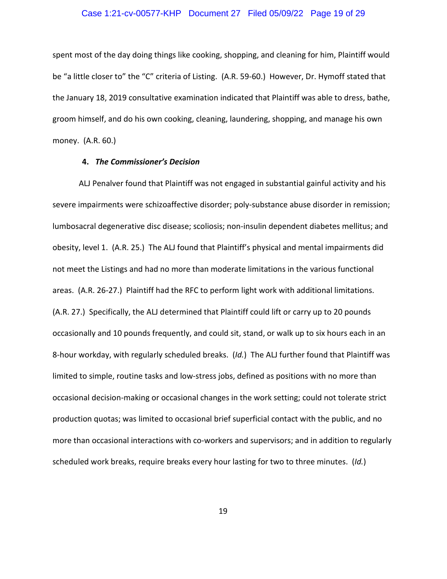# Case 1:21-cv-00577-KHP Document 27 Filed 05/09/22 Page 19 of 29

spent most of the day doing things like cooking, shopping, and cleaning for him, Plaintiff would be "a little closer to" the "C" criteria of Listing. (A.R. 59-60.) However, Dr. Hymoff stated that the January 18, 2019 consultative examination indicated that Plaintiff was able to dress, bathe, groom himself, and do his own cooking, cleaning, laundering, shopping, and manage his own money. (A.R. 60.)

#### **4.** *The Commissioner's Decision*

ALJ Penalver found that Plaintiff was not engaged in substantial gainful activity and his severe impairments were schizoaffective disorder; poly-substance abuse disorder in remission; lumbosacral degenerative disc disease; scoliosis; non-insulin dependent diabetes mellitus; and obesity, level 1. (A.R. 25.) The ALJ found that Plaintiff's physical and mental impairments did not meet the Listings and had no more than moderate limitations in the various functional areas. (A.R. 26-27.) Plaintiff had the RFC to perform light work with additional limitations. (A.R. 27.) Specifically, the ALJ determined that Plaintiff could lift or carry up to 20 pounds occasionally and 10 pounds frequently, and could sit, stand, or walk up to six hours each in an 8-hour workday, with regularly scheduled breaks. (*Id.*) The ALJ further found that Plaintiff was limited to simple, routine tasks and low-stress jobs, defined as positions with no more than occasional decision-making or occasional changes in the work setting; could not tolerate strict production quotas; was limited to occasional brief superficial contact with the public, and no more than occasional interactions with co-workers and supervisors; and in addition to regularly scheduled work breaks, require breaks every hour lasting for two to three minutes. (*Id.*)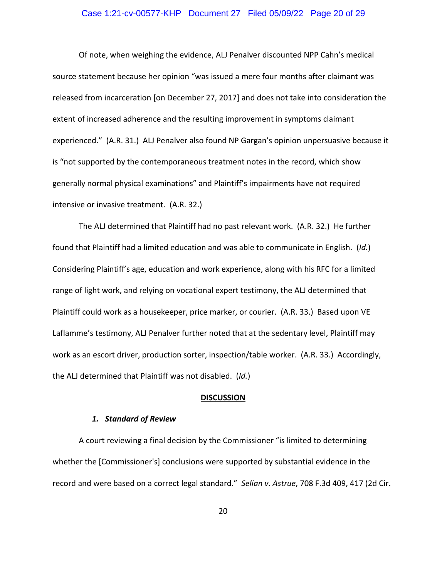#### Case 1:21-cv-00577-KHP Document 27 Filed 05/09/22 Page 20 of 29

Of note, when weighing the evidence, ALJ Penalver discounted NPP Cahn's medical source statement because her opinion "was issued a mere four months after claimant was released from incarceration [on December 27, 2017] and does not take into consideration the extent of increased adherence and the resulting improvement in symptoms claimant experienced." (A.R. 31.) ALJ Penalver also found NP Gargan's opinion unpersuasive because it is "not supported by the contemporaneous treatment notes in the record, which show generally normal physical examinations" and Plaintiff's impairments have not required intensive or invasive treatment. (A.R. 32.)

The ALJ determined that Plaintiff had no past relevant work. (A.R. 32.) He further found that Plaintiff had a limited education and was able to communicate in English. (*Id.*) Considering Plaintiff's age, education and work experience, along with his RFC for a limited range of light work, and relying on vocational expert testimony, the ALJ determined that Plaintiff could work as a housekeeper, price marker, or courier. (A.R. 33.) Based upon VE Laflamme's testimony, ALJ Penalver further noted that at the sedentary level, Plaintiff may work as an escort driver, production sorter, inspection/table worker. (A.R. 33.) Accordingly, the ALJ determined that Plaintiff was not disabled. (*Id.*)

#### **DISCUSSION**

#### *1. Standard of Review*

A court reviewing a final decision by the Commissioner "is limited to determining whether the [Commissioner's] conclusions were supported by substantial evidence in the record and were based on a correct legal standard." *Selian v. Astrue*, 708 F.3d 409, 417 (2d Cir.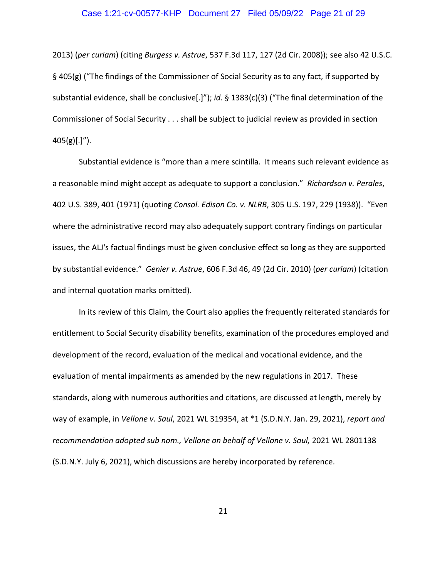# Case 1:21-cv-00577-KHP Document 27 Filed 05/09/22 Page 21 of 29

2013) (*per curiam*) (citing *Burgess v. Astrue*, 537 F.3d 117, 127 (2d Cir. 2008)); see also 42 U.S.C. § 405(g) ("The findings of the Commissioner of Social Security as to any fact, if supported by substantial evidence, shall be conclusive[.]"); *id*. § 1383(c)(3) ("The final determination of the Commissioner of Social Security . . . shall be subject to judicial review as provided in section  $405(g)[.]$ ").

Substantial evidence is "more than a mere scintilla. It means such relevant evidence as a reasonable mind might accept as adequate to support a conclusion." *Richardson v. Perales*, 402 U.S. 389, 401 (1971) (quoting *Consol. Edison Co. v. NLRB*, 305 U.S. 197, 229 (1938)). "Even where the administrative record may also adequately support contrary findings on particular issues, the ALJ's factual findings must be given conclusive effect so long as they are supported by substantial evidence." *Genier v. Astrue*, 606 F.3d 46, 49 (2d Cir. 2010) (*per curiam*) (citation and internal quotation marks omitted).

In its review of this Claim, the Court also applies the frequently reiterated standards for entitlement to Social Security disability benefits, examination of the procedures employed and development of the record, evaluation of the medical and vocational evidence, and the evaluation of mental impairments as amended by the new regulations in 2017. These standards, along with numerous authorities and citations, are discussed at length, merely by way of example, in *Vellone v. Saul*, 2021 WL 319354, at \*1 (S.D.N.Y. Jan. 29, 2021), *report and recommendation adopted sub nom., Vellone on behalf of Vellone v. Saul,* 2021 WL 2801138 (S.D.N.Y. July 6, 2021), which discussions are hereby incorporated by reference.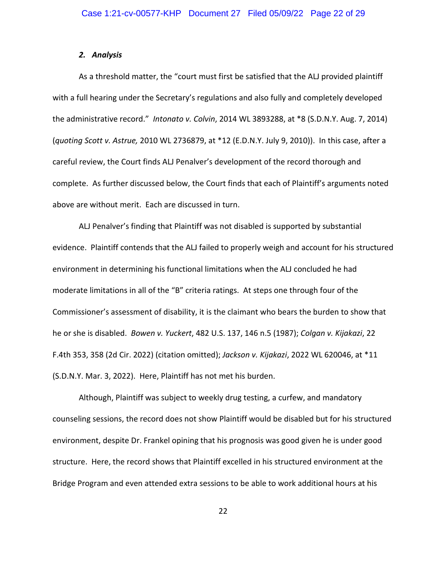#### *2. Analysis*

As a threshold matter, the "court must first be satisfied that the ALJ provided plaintiff with a full hearing under the Secretary's regulations and also fully and completely developed the administrative record." *Intonato v. Colvin*, 2014 WL 3893288, at \*8 (S.D.N.Y. Aug. 7, 2014) (*quoting Scott v. Astrue,* 2010 WL 2736879, at \*12 (E.D.N.Y. July 9, 2010)). In this case, after a careful review, the Court finds ALJ Penalver's development of the record thorough and complete. As further discussed below, the Court finds that each of Plaintiff's arguments noted above are without merit. Each are discussed in turn.

ALJ Penalver's finding that Plaintiff was not disabled is supported by substantial evidence. Plaintiff contends that the ALJ failed to properly weigh and account for his structured environment in determining his functional limitations when the ALJ concluded he had moderate limitations in all of the "B" criteria ratings. At steps one through four of the Commissioner's assessment of disability, it is the claimant who bears the burden to show that he or she is disabled. *Bowen v. Yuckert*, 482 U.S. 137, 146 n.5 (1987); *Colgan v. Kijakazi*, 22 F.4th 353, 358 (2d Cir. 2022) (citation omitted); *Jackson v. Kijakazi*, 2022 WL 620046, at \*11 (S.D.N.Y. Mar. 3, 2022). Here, Plaintiff has not met his burden.

Although, Plaintiff was subject to weekly drug testing, a curfew, and mandatory counseling sessions, the record does not show Plaintiff would be disabled but for his structured environment, despite Dr. Frankel opining that his prognosis was good given he is under good structure. Here, the record shows that Plaintiff excelled in his structured environment at the Bridge Program and even attended extra sessions to be able to work additional hours at his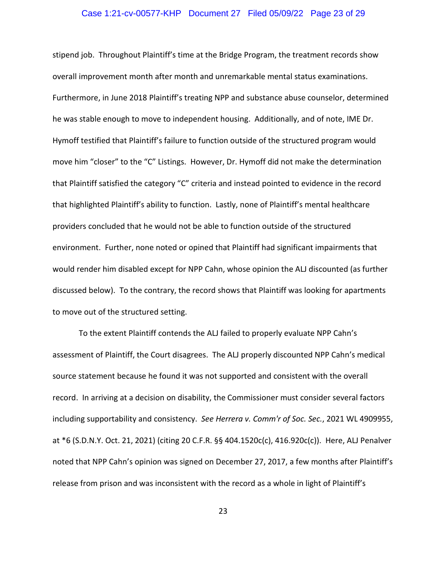# Case 1:21-cv-00577-KHP Document 27 Filed 05/09/22 Page 23 of 29

stipend job. Throughout Plaintiff's time at the Bridge Program, the treatment records show overall improvement month after month and unremarkable mental status examinations. Furthermore, in June 2018 Plaintiff's treating NPP and substance abuse counselor, determined he was stable enough to move to independent housing. Additionally, and of note, IME Dr. Hymoff testified that Plaintiff's failure to function outside of the structured program would move him "closer" to the "C" Listings. However, Dr. Hymoff did not make the determination that Plaintiff satisfied the category "C" criteria and instead pointed to evidence in the record that highlighted Plaintiff's ability to function. Lastly, none of Plaintiff's mental healthcare providers concluded that he would not be able to function outside of the structured environment. Further, none noted or opined that Plaintiff had significant impairments that would render him disabled except for NPP Cahn, whose opinion the ALJ discounted (as further discussed below). To the contrary, the record shows that Plaintiff was looking for apartments to move out of the structured setting.

To the extent Plaintiff contends the ALJ failed to properly evaluate NPP Cahn's assessment of Plaintiff, the Court disagrees. The ALJ properly discounted NPP Cahn's medical source statement because he found it was not supported and consistent with the overall record. In arriving at a decision on disability, the Commissioner must consider several factors including supportability and consistency. *See Herrera v. Comm'r of Soc. Sec.*, 2021 WL 4909955, at \*6 (S.D.N.Y. Oct. 21, 2021) (citing 20 C.F.R. §§ 404.1520c(c), 416.920c(c)). Here, ALJ Penalver noted that NPP Cahn's opinion was signed on December 27, 2017, a few months after Plaintiff's release from prison and was inconsistent with the record as a whole in light of Plaintiff's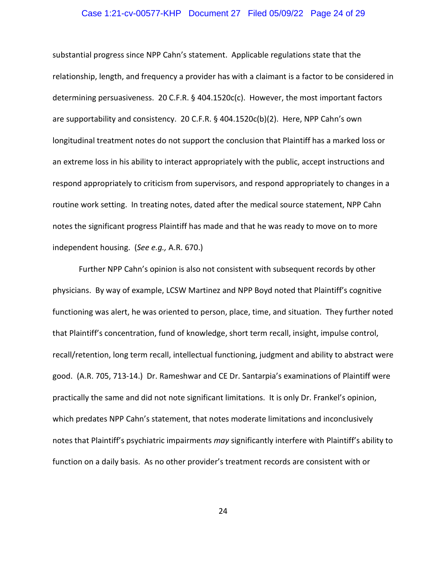# Case 1:21-cv-00577-KHP Document 27 Filed 05/09/22 Page 24 of 29

substantial progress since NPP Cahn's statement. Applicable regulations state that the relationship, length, and frequency a provider has with a claimant is a factor to be considered in determining persuasiveness. 20 C.F.R. § 404.1520c(c). However, the most important factors are supportability and consistency. 20 C.F.R. § 404.1520c(b)(2). Here, NPP Cahn's own longitudinal treatment notes do not support the conclusion that Plaintiff has a marked loss or an extreme loss in his ability to interact appropriately with the public, accept instructions and respond appropriately to criticism from supervisors, and respond appropriately to changes in a routine work setting. In treating notes, dated after the medical source statement, NPP Cahn notes the significant progress Plaintiff has made and that he was ready to move on to more independent housing. (*See e.g.,* A.R. 670.)

Further NPP Cahn's opinion is also not consistent with subsequent records by other physicians. By way of example, LCSW Martinez and NPP Boyd noted that Plaintiff's cognitive functioning was alert, he was oriented to person, place, time, and situation. They further noted that Plaintiff's concentration, fund of knowledge, short term recall, insight, impulse control, recall/retention, long term recall, intellectual functioning, judgment and ability to abstract were good. (A.R. 705, 713-14.) Dr. Rameshwar and CE Dr. Santarpia's examinations of Plaintiff were practically the same and did not note significant limitations. It is only Dr. Frankel's opinion, which predates NPP Cahn's statement, that notes moderate limitations and inconclusively notes that Plaintiff's psychiatric impairments *may* significantly interfere with Plaintiff's ability to function on a daily basis. As no other provider's treatment records are consistent with or

24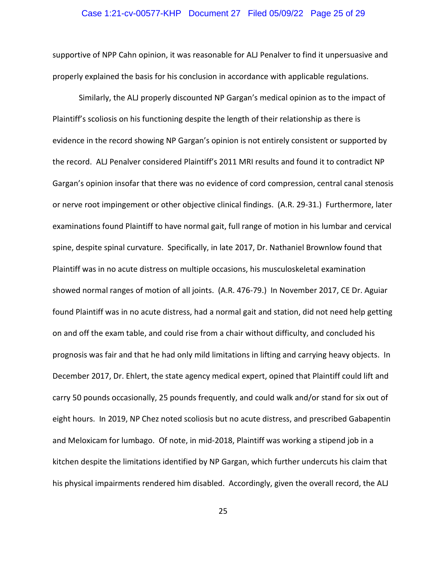# Case 1:21-cv-00577-KHP Document 27 Filed 05/09/22 Page 25 of 29

supportive of NPP Cahn opinion, it was reasonable for ALJ Penalver to find it unpersuasive and properly explained the basis for his conclusion in accordance with applicable regulations.

Similarly, the ALJ properly discounted NP Gargan's medical opinion as to the impact of Plaintiff's scoliosis on his functioning despite the length of their relationship as there is evidence in the record showing NP Gargan's opinion is not entirely consistent or supported by the record. ALJ Penalver considered Plaintiff's 2011 MRI results and found it to contradict NP Gargan's opinion insofar that there was no evidence of cord compression, central canal stenosis or nerve root impingement or other objective clinical findings. (A.R. 29-31.) Furthermore, later examinations found Plaintiff to have normal gait, full range of motion in his lumbar and cervical spine, despite spinal curvature. Specifically, in late 2017, Dr. Nathaniel Brownlow found that Plaintiff was in no acute distress on multiple occasions, his musculoskeletal examination showed normal ranges of motion of all joints. (A.R. 476-79.) In November 2017, CE Dr. Aguiar found Plaintiff was in no acute distress, had a normal gait and station, did not need help getting on and off the exam table, and could rise from a chair without difficulty, and concluded his prognosis was fair and that he had only mild limitations in lifting and carrying heavy objects. In December 2017, Dr. Ehlert, the state agency medical expert, opined that Plaintiff could lift and carry 50 pounds occasionally, 25 pounds frequently, and could walk and/or stand for six out of eight hours. In 2019, NP Chez noted scoliosis but no acute distress, and prescribed Gabapentin and Meloxicam for lumbago. Of note, in mid-2018, Plaintiff was working a stipend job in a kitchen despite the limitations identified by NP Gargan, which further undercuts his claim that his physical impairments rendered him disabled. Accordingly, given the overall record, the ALJ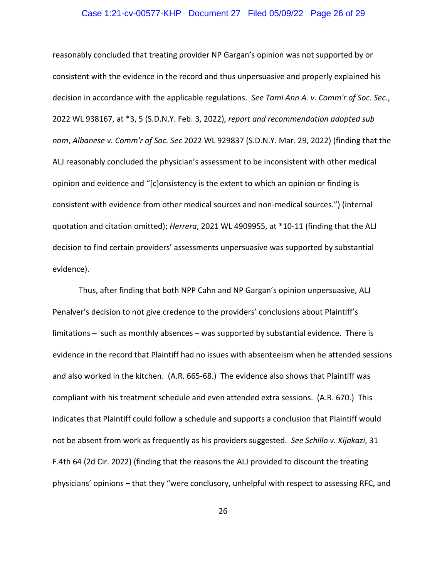# Case 1:21-cv-00577-KHP Document 27 Filed 05/09/22 Page 26 of 29

reasonably concluded that treating provider NP Gargan's opinion was not supported by or consistent with the evidence in the record and thus unpersuasive and properly explained his decision in accordance with the applicable regulations. *See Tami Ann A. v. Comm'r of Soc. Sec.*, 2022 WL 938167, at \*3, 5 (S.D.N.Y. Feb. 3, 2022), *report and recommendation adopted sub nom*, *Albanese v. Comm'r of Soc. Sec* 2022 WL 929837 (S.D.N.Y. Mar. 29, 2022) (finding that the ALJ reasonably concluded the physician's assessment to be inconsistent with other medical opinion and evidence and "[c]onsistency is the extent to which an opinion or finding is consistent with evidence from other medical sources and non-medical sources.") (internal quotation and citation omitted); *Herrera*, 2021 WL 4909955, at \*10-11 (finding that the ALJ decision to find certain providers' assessments unpersuasive was supported by substantial evidence).

Thus, after finding that both NPP Cahn and NP Gargan's opinion unpersuasive, ALJ Penalver's decision to not give credence to the providers' conclusions about Plaintiff's limitations – such as monthly absences – was supported by substantial evidence. There is evidence in the record that Plaintiff had no issues with absenteeism when he attended sessions and also worked in the kitchen. (A.R. 665-68.) The evidence also shows that Plaintiff was compliant with his treatment schedule and even attended extra sessions. (A.R. 670.) This indicates that Plaintiff could follow a schedule and supports a conclusion that Plaintiff would not be absent from work as frequently as his providers suggested. *See Schillo v. Kijakazi*, 31 F.4th 64 (2d Cir. 2022) (finding that the reasons the ALJ provided to discount the treating physicians' opinions – that they "were conclusory, unhelpful with respect to assessing RFC, and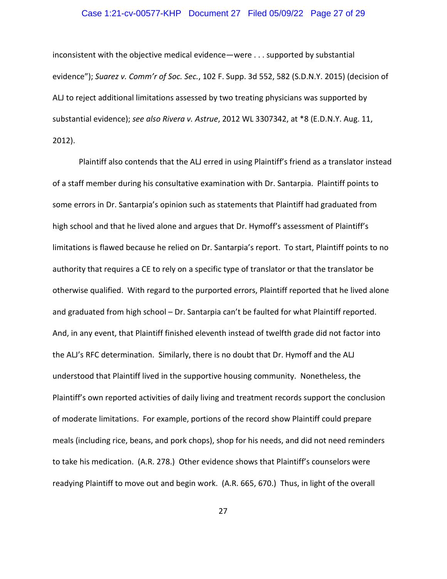# Case 1:21-cv-00577-KHP Document 27 Filed 05/09/22 Page 27 of 29

inconsistent with the objective medical evidence—were . . . supported by substantial evidence"); *Suarez v. Comm'r of Soc. Sec.*, 102 F. Supp. 3d 552, 582 (S.D.N.Y. 2015) (decision of ALJ to reject additional limitations assessed by two treating physicians was supported by substantial evidence); *see also Rivera v. Astrue*, 2012 WL 3307342, at \*8 (E.D.N.Y. Aug. 11, 2012).

Plaintiff also contends that the ALJ erred in using Plaintiff's friend as a translator instead of a staff member during his consultative examination with Dr. Santarpia. Plaintiff points to some errors in Dr. Santarpia's opinion such as statements that Plaintiff had graduated from high school and that he lived alone and argues that Dr. Hymoff's assessment of Plaintiff's limitations is flawed because he relied on Dr. Santarpia's report. To start, Plaintiff points to no authority that requires a CE to rely on a specific type of translator or that the translator be otherwise qualified. With regard to the purported errors, Plaintiff reported that he lived alone and graduated from high school – Dr. Santarpia can't be faulted for what Plaintiff reported. And, in any event, that Plaintiff finished eleventh instead of twelfth grade did not factor into the ALJ's RFC determination. Similarly, there is no doubt that Dr. Hymoff and the ALJ understood that Plaintiff lived in the supportive housing community. Nonetheless, the Plaintiff's own reported activities of daily living and treatment records support the conclusion of moderate limitations. For example, portions of the record show Plaintiff could prepare meals (including rice, beans, and pork chops), shop for his needs, and did not need reminders to take his medication. (A.R. 278.) Other evidence shows that Plaintiff's counselors were readying Plaintiff to move out and begin work. (A.R. 665, 670.) Thus, in light of the overall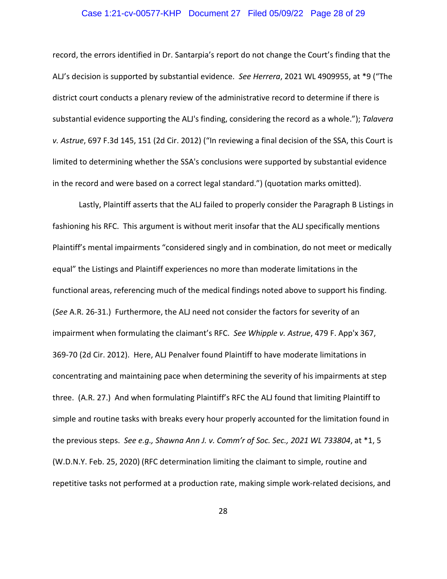# Case 1:21-cv-00577-KHP Document 27 Filed 05/09/22 Page 28 of 29

record, the errors identified in Dr. Santarpia's report do not change the Court's finding that the ALJ's decision is supported by substantial evidence. *See Herrera*, 2021 WL 4909955, at \*9 ("The district court conducts a plenary review of the administrative record to determine if there is substantial evidence supporting the ALJ's finding, considering the record as a whole."); *Talavera v. Astrue*, 697 F.3d 145, 151 (2d Cir. 2012) ("In reviewing a final decision of the SSA, this Court is limited to determining whether the SSA's conclusions were supported by substantial evidence in the record and were based on a correct legal standard.") (quotation marks omitted).

Lastly, Plaintiff asserts that the ALJ failed to properly consider the Paragraph B Listings in fashioning his RFC. This argument is without merit insofar that the ALJ specifically mentions Plaintiff's mental impairments "considered singly and in combination, do not meet or medically equal" the Listings and Plaintiff experiences no more than moderate limitations in the functional areas, referencing much of the medical findings noted above to support his finding. (*See* A.R. 26-31.) Furthermore, the ALJ need not consider the factors for severity of an impairment when formulating the claimant's RFC. *See Whipple v. Astrue*, 479 F. App'x 367, 369-70 (2d Cir. 2012). Here, ALJ Penalver found Plaintiff to have moderate limitations in concentrating and maintaining pace when determining the severity of his impairments at step three. (A.R. 27.) And when formulating Plaintiff's RFC the ALJ found that limiting Plaintiff to simple and routine tasks with breaks every hour properly accounted for the limitation found in the previous steps. *See e.g., Shawna Ann J. v. Comm'r of Soc. Sec., 2021 WL 733804*, at \*1, 5 (W.D.N.Y. Feb. 25, 2020) (RFC determination limiting the claimant to simple, routine and repetitive tasks not performed at a production rate, making simple work-related decisions, and